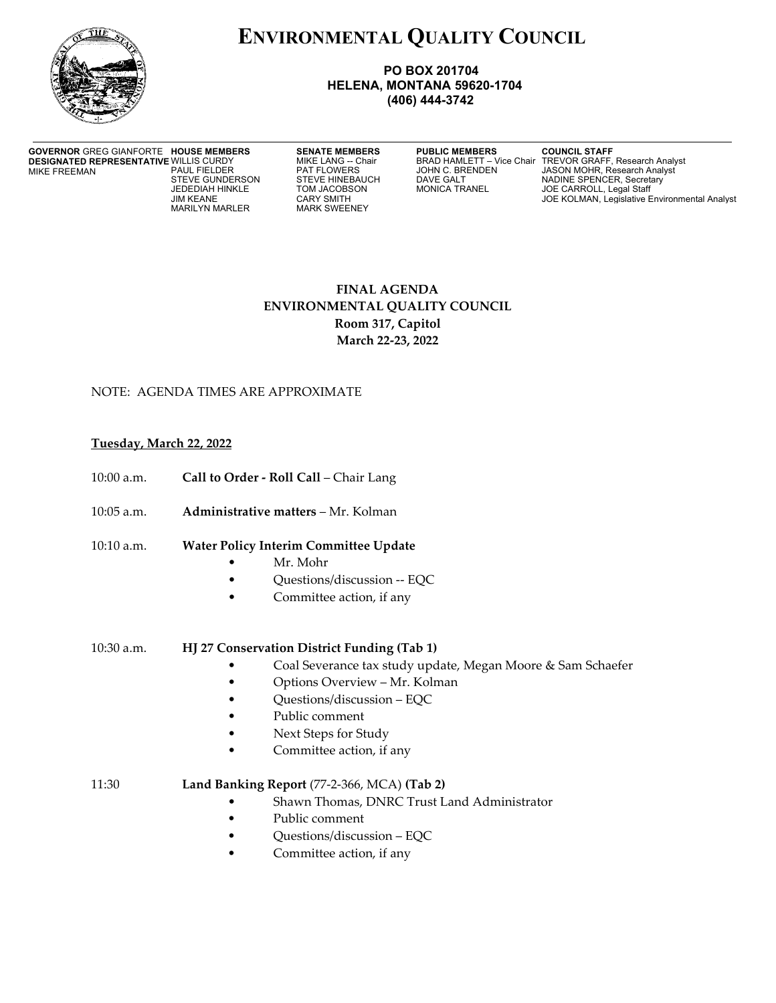

# **ENVIRONMENTAL QUALITY COUNCIL**

#### **PO BOX 201704 HELENA, MONTANA 59620-1704 (406) 444-3742**

**GOVERNOR** GREG GIANFORTE **DESIGNATED REPRESENTATIVE WILLIS CURDY**<br>MIKE FREEMAN PAUL FIELDER MIKE FREEMAN

MARILYN MARLER

**HOUSE AT ABOUT A SENATE MEMBERS ASSESS THE EXAMPLE STAFF MIKE LANG -- COUNCIL STAFF, SEAL TO BRAD HAMLETT - Vice Chair TREVOR GRAFF,** 

MIKE LANG -- Chair BRAD HAMLETT – Vice Chair TREVOR GRAFF, Research Analyst<br>PAT FLOWERS JOHN C. BRENDEN JASON MOHR, Research Analyst PAUL FIELDER PAT FLOWERS JOHN C. BRENDEN JASON MOHR, Research Analyst STEVE GUNDERSON STEVE HINEBAUCH DAVE GALT NADINE SPENCER, Secretary<br>JEDEDIAH HINKLE TOM JACOBSON MONICA TRANEL JOE CARROLL, Legal Staff JEDEDIAH HINKLE TOM JACOBSON MONICA TRANEL JOE CARROLL, Legal Staff CARY SMITH GARY SMITH GARY STATES AND THE SAME CARY STATES OF STATES AND THE SAME STATES OF STATES AND THE SAME STATES OF STATES AND THE SAME STATES OF STATES AND THE SAME STATES OF STATES AND THE SAME STATES OF STATES AND

# **FINAL AGENDA ENVIRONMENTAL QUALITY COUNCIL Room 317, Capitol March 22-23, 2022**

## NOTE: AGENDA TIMES ARE APPROXIMATE

### **Tuesday, March 22, 2022**

- 10:00 a.m. **Call to Order Roll Call** Chair Lang
- 10:05 a.m. **Administrative matters** Mr. Kolman
- 10:10 a.m. **Water Policy Interim Committee Update**
	- Mr. Mohr
		- Questions/discussion -- EQC
	- Committee action, if any
- 10:30 a.m. **HJ 27 Conservation District Funding (Tab 1)**
	- Coal Severance tax study update, Megan Moore & Sam Schaefer
	- Options Overview Mr. Kolman
	- Questions/discussion EQC
	- Public comment
	- Next Steps for Study
	- Committee action, if any
- 11:30 **Land Banking Report** (77-2-366, MCA) **(Tab 2)**
	- Shawn Thomas, DNRC Trust Land Administrator
	- Public comment
	- Questions/discussion EQC
	- Committee action, if any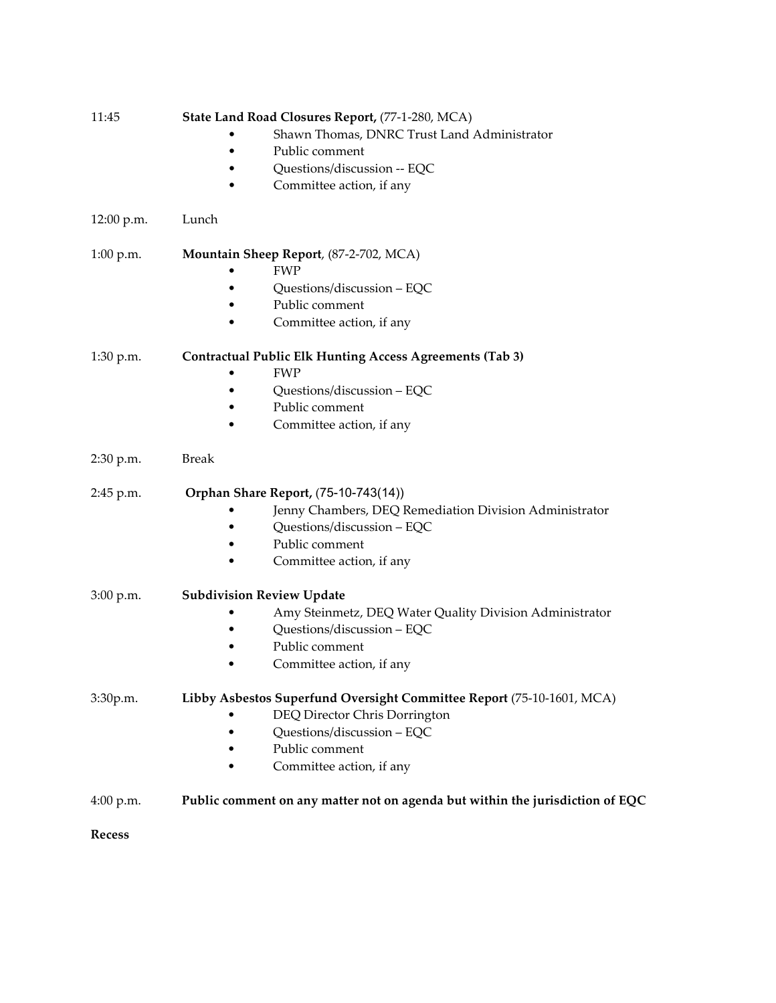| 11:45         | State Land Road Closures Report, (77-1-280, MCA)                              |
|---------------|-------------------------------------------------------------------------------|
|               | Shawn Thomas, DNRC Trust Land Administrator                                   |
|               | Public comment                                                                |
|               | Questions/discussion -- EQC                                                   |
|               | Committee action, if any                                                      |
| 12:00 p.m.    | Lunch                                                                         |
| $1:00$ p.m.   | Mountain Sheep Report, (87-2-702, MCA)                                        |
|               | <b>FWP</b>                                                                    |
|               | Questions/discussion - EQC                                                    |
|               | Public comment                                                                |
|               | Committee action, if any                                                      |
| 1:30 p.m.     | <b>Contractual Public Elk Hunting Access Agreements (Tab 3)</b>               |
|               | <b>FWP</b>                                                                    |
|               | Questions/discussion - EQC                                                    |
|               | Public comment                                                                |
|               | Committee action, if any                                                      |
| 2:30 p.m.     | <b>Break</b>                                                                  |
| 2:45 p.m.     | Orphan Share Report, (75-10-743(14))                                          |
|               | Jenny Chambers, DEQ Remediation Division Administrator                        |
|               | Questions/discussion - EQC                                                    |
|               | Public comment                                                                |
|               | Committee action, if any                                                      |
| $3:00$ p.m.   | <b>Subdivision Review Update</b>                                              |
|               | Amy Steinmetz, DEQ Water Quality Division Administrator                       |
|               | Questions/discussion - EQC                                                    |
|               | Public comment                                                                |
|               | Committee action, if any                                                      |
| 3:30p.m.      | Libby Asbestos Superfund Oversight Committee Report (75-10-1601, MCA)         |
|               | DEQ Director Chris Dorrington                                                 |
|               | Questions/discussion - EQC                                                    |
|               | Public comment                                                                |
|               | Committee action, if any                                                      |
| 4:00 p.m.     | Public comment on any matter not on agenda but within the jurisdiction of EQC |
| <b>Recess</b> |                                                                               |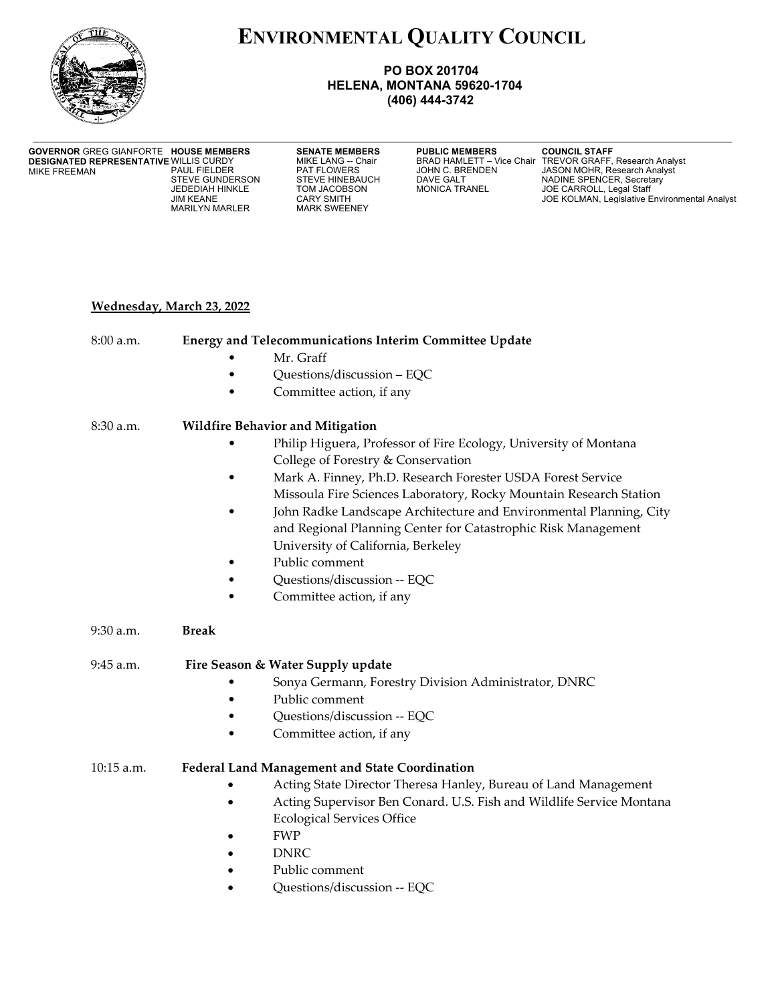

# **ENVIRONMENTAL QUALITY COUNCIL**

### **PO BOX 201704 HELENA, MONTANA 59620-1704 (406) 444-3742**

#### **GOVERNOR GREG GIANFORTE HOUSE MEMBERS DESIGNATED REPRESENTATIVE WILLIS CURDY<br>MIKE FREEMAN PAUL FIELDER** MIKE FREEMAN

MARILYN MARLER

**SENATE MEMBERS PUBLIC MEMBERS COUNCIL STAFF**<br>MIKE LANG -- Chair **BRAD HAMLETT - Vice Chair TREVOR GRAFF**,

WIKE LANG -- Chair BRAD HAMLETT – Vice Chair TREVOR GRAFF, Research Analyst<br>PAT FLOWERS JOHN C. BRENDEN JASON MOHR, Research Analyst PAUL FIELDER PAT FLOWERS JOHN C. BRENDEN JASON MOHR, Research Analyst STEVE GUNDERSON STEVE HINEBAUCH DAVE GALT NADINE SPENCER, Secretary<br>
JEDEDIAH HINKLE TOM JACOBSON MONICA TRANEL JOE CARROLL, Legal Staff<br>
JIM KEANE CARY SMITH CARY SMITH JOE KOLMAN, Legislative Envi JEDEDIAH HINKLE TOM JACOBSON MONICA TRANEL JOE CARROLL, Legal Staff CARY SMITH GARY SMITH GARY SMITH JOE KOLMAN, Legislative Environmental Analyst<br>MARK SWEENEY

# **Wednesday, March 23, 2022**

| $8:00$ a.m.  | <b>Energy and Telecommunications Interim Committee Update</b>                     |
|--------------|-----------------------------------------------------------------------------------|
|              | Mr. Graff                                                                         |
|              | Questions/discussion - EQC                                                        |
|              | Committee action, if any                                                          |
| $8:30$ a.m.  | <b>Wildfire Behavior and Mitigation</b>                                           |
|              | Philip Higuera, Professor of Fire Ecology, University of Montana                  |
|              | College of Forestry & Conservation                                                |
|              | Mark A. Finney, Ph.D. Research Forester USDA Forest Service                       |
|              | Missoula Fire Sciences Laboratory, Rocky Mountain Research Station                |
|              | John Radke Landscape Architecture and Environmental Planning, City                |
|              | and Regional Planning Center for Catastrophic Risk Management                     |
|              | University of California, Berkeley                                                |
|              | Public comment                                                                    |
|              | Questions/discussion -- EQC                                                       |
|              | Committee action, if any                                                          |
| 9:30 a.m.    | <b>Break</b>                                                                      |
| $9:45$ a.m.  | Fire Season & Water Supply update                                                 |
|              | Sonya Germann, Forestry Division Administrator, DNRC                              |
|              | Public comment                                                                    |
|              | Questions/discussion -- EQC                                                       |
|              | Committee action, if any                                                          |
| $10:15$ a.m. | <b>Federal Land Management and State Coordination</b>                             |
|              | Acting State Director Theresa Hanley, Bureau of Land Management                   |
|              | Acting Supervisor Ben Conard. U.S. Fish and Wildlife Service Montana<br>$\bullet$ |
|              | <b>Ecological Services Office</b>                                                 |
|              | <b>FWP</b><br>$\bullet$                                                           |
|              | <b>DNRC</b>                                                                       |
|              |                                                                                   |
|              | Public comment                                                                    |